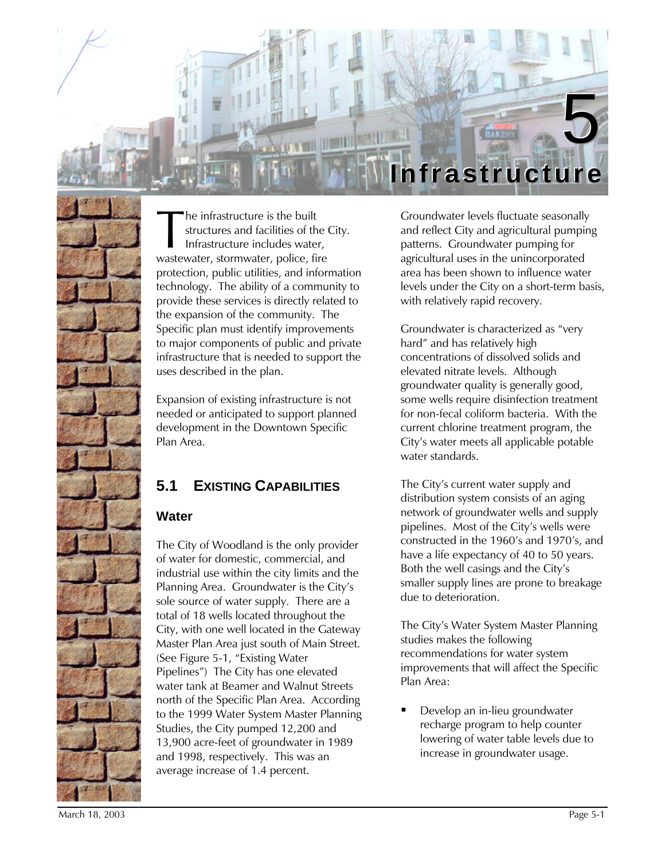

he infrastructure is the built structures and facilities of the City. Infrastructure includes water, The infrastructure is the built<br>structures and facilities of the C<br>Infrastructure includes water,<br>wastewater, stormwater, police, fire protection, public utilities, and information technology. The ability of a community to provide these services is directly related to the expansion of the community. The Specific plan must identify improvements to major components of public and private infrastructure that is needed to support the uses described in the plan.

Expansion of existing infrastructure is not needed or anticipated to support planned development in the Downtown Specific Plan Area.

# **5.1 EXISTING CAPABILITIES**

### **Water**

The City of Woodland is the only provider of water for domestic, commercial, and industrial use within the city limits and the Planning Area. Groundwater is the City's sole source of water supply. There are a total of 18 wells located throughout the City, with one well located in the Gateway Master Plan Area just south of Main Street. (See Figure 5-1, "Existing Water Pipelines") The City has one elevated water tank at Beamer and Walnut Streets north of the Specific Plan Area. According to the 1999 Water System Master Planning Studies, the City pumped 12,200 and 13,900 acre-feet of groundwater in 1989 and 1998, respectively. This was an average increase of 1.4 percent.

Groundwater levels fluctuate seasonally and reflect City and agricultural pumping patterns. Groundwater pumping for agricultural uses in the unincorporated area has been shown to influence water levels under the City on a short-term basis, with relatively rapid recovery.

Groundwater is characterized as "very hard" and has relatively high concentrations of dissolved solids and elevated nitrate levels. Although groundwater quality is generally good, some wells require disinfection treatment for non-fecal coliform bacteria. With the current chlorine treatment program, the City's water meets all applicable potable water standards.

The City's current water supply and distribution system consists of an aging network of groundwater wells and supply pipelines. Most of the City's wells were constructed in the 1960's and 1970's, and have a life expectancy of 40 to 50 years. Both the well casings and the City's smaller supply lines are prone to breakage due to deterioration.

The City's Water System Master Planning studies makes the following recommendations for water system improvements that will affect the Specific Plan Area:

ß Develop an in-lieu groundwater recharge program to help counter lowering of water table levels due to increase in groundwater usage.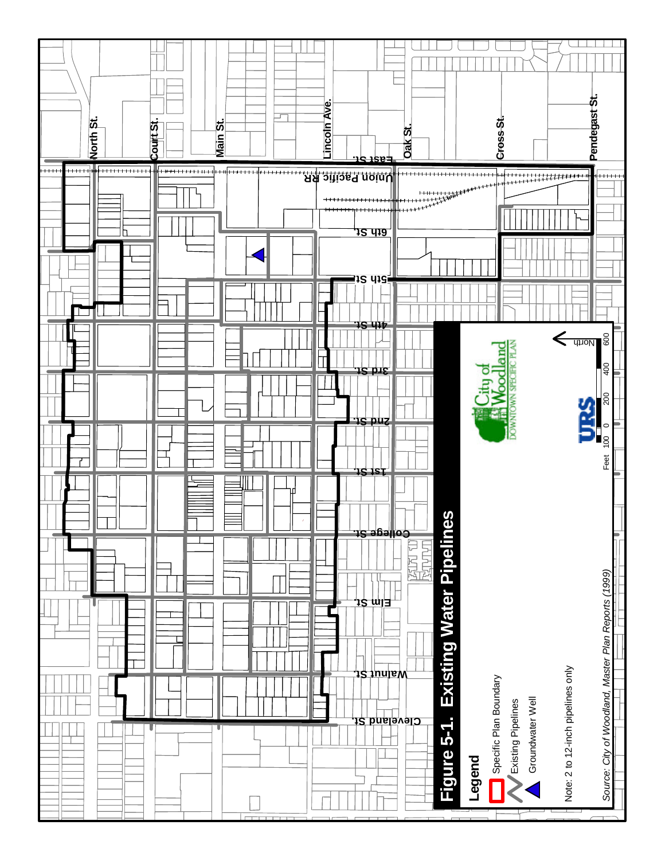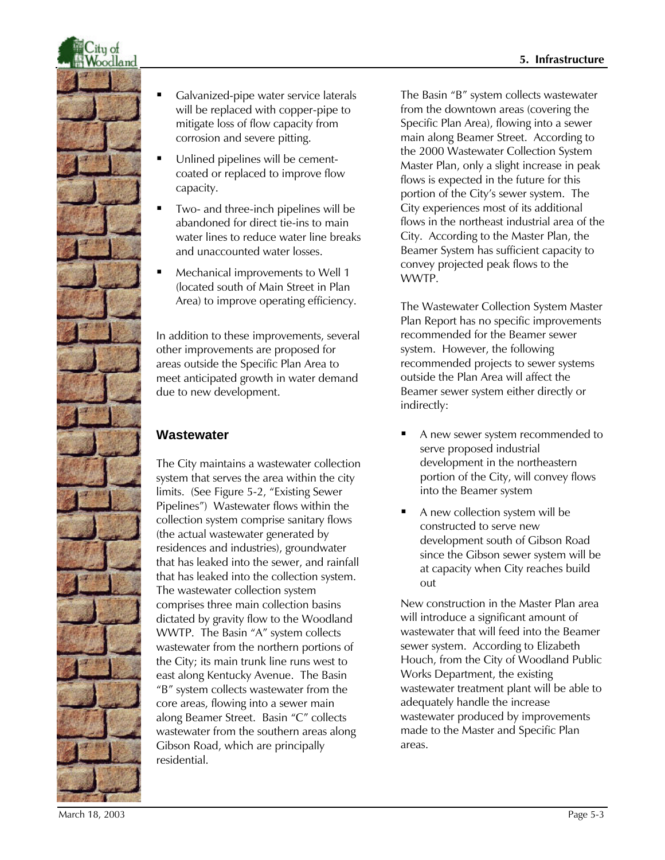

- ß Galvanized-pipe water service laterals will be replaced with copper-pipe to mitigate loss of flow capacity from corrosion and severe pitting.
- Unlined pipelines will be cementcoated or replaced to improve flow capacity.
- ß Two- and three-inch pipelines will be abandoned for direct tie-ins to main water lines to reduce water line breaks and unaccounted water losses.
- ß Mechanical improvements to Well 1 (located south of Main Street in Plan Area) to improve operating efficiency.

In addition to these improvements, several other improvements are proposed for areas outside the Specific Plan Area to meet anticipated growth in water demand due to new development.

# **Wastewater**

The City maintains a wastewater collection system that serves the area within the city limits. (See Figure 5-2, "Existing Sewer Pipelines") Wastewater flows within the collection system comprise sanitary flows (the actual wastewater generated by residences and industries), groundwater that has leaked into the sewer, and rainfall that has leaked into the collection system. The wastewater collection system comprises three main collection basins dictated by gravity flow to the Woodland WWTP. The Basin "A" system collects wastewater from the northern portions of the City; its main trunk line runs west to east along Kentucky Avenue. The Basin "B" system collects wastewater from the core areas, flowing into a sewer main along Beamer Street. Basin "C" collects wastewater from the southern areas along Gibson Road, which are principally residential.

The Basin "B" system collects wastewater from the downtown areas (covering the Specific Plan Area), flowing into a sewer main along Beamer Street. According to the 2000 Wastewater Collection System Master Plan, only a slight increase in peak flows is expected in the future for this portion of the City's sewer system. The City experiences most of its additional flows in the northeast industrial area of the City. According to the Master Plan, the Beamer System has sufficient capacity to convey projected peak flows to the WWTP.

The Wastewater Collection System Master Plan Report has no specific improvements recommended for the Beamer sewer system. However, the following recommended projects to sewer systems outside the Plan Area will affect the Beamer sewer system either directly or indirectly:

- A new sewer system recommended to serve proposed industrial development in the northeastern portion of the City, will convey flows into the Beamer system
- $\blacksquare$  A new collection system will be constructed to serve new development south of Gibson Road since the Gibson sewer system will be at capacity when City reaches build out

New construction in the Master Plan area will introduce a significant amount of wastewater that will feed into the Beamer sewer system. According to Elizabeth Houch, from the City of Woodland Public Works Department, the existing wastewater treatment plant will be able to adequately handle the increase wastewater produced by improvements made to the Master and Specific Plan areas.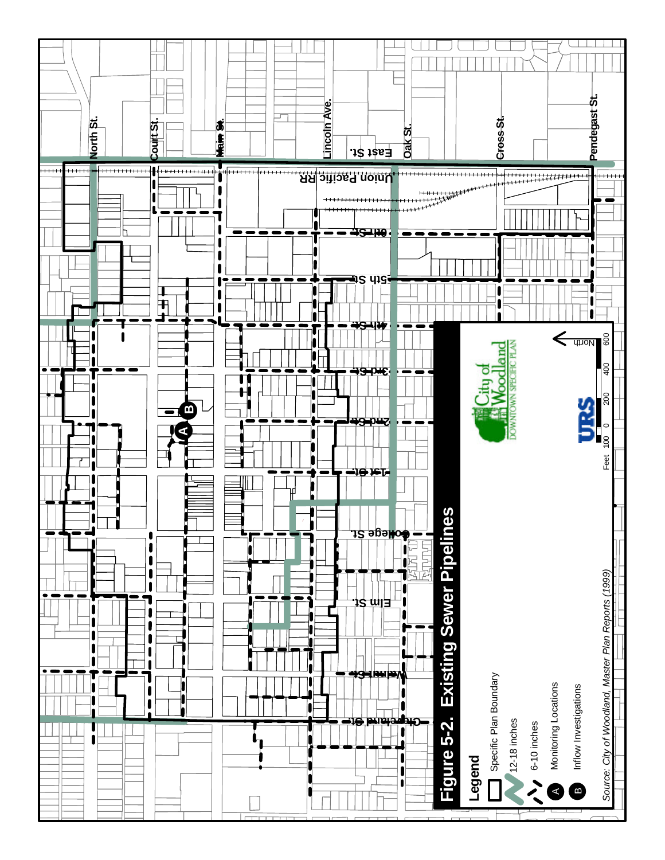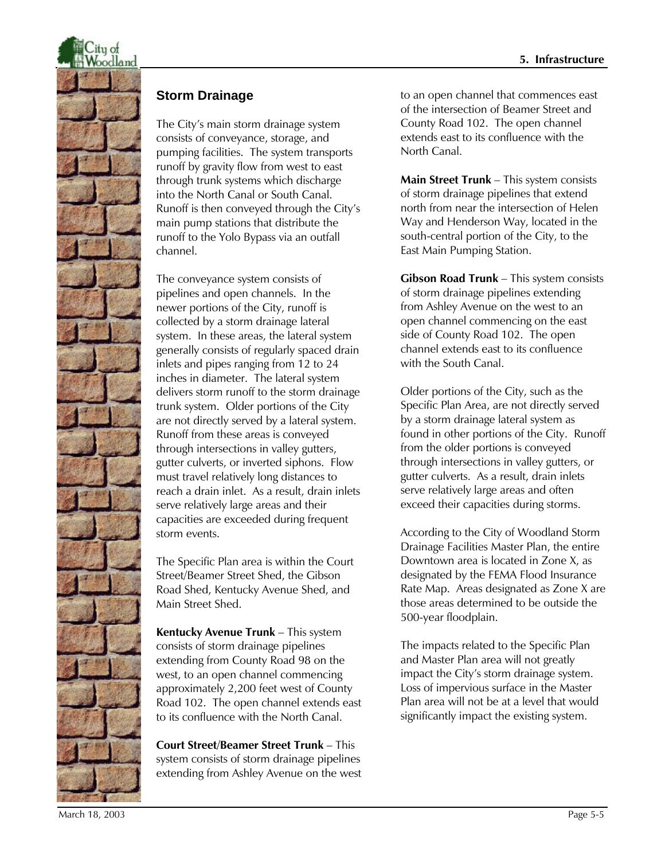

#### **Storm Drainage**

The City's main storm drainage system consists of conveyance, storage, and pumping facilities. The system transports runoff by gravity flow from west to east through trunk systems which discharge into the North Canal or South Canal. Runoff is then conveyed through the City's main pump stations that distribute the runoff to the Yolo Bypass via an outfall channel.

The conveyance system consists of pipelines and open channels. In the newer portions of the City, runoff is collected by a storm drainage lateral system. In these areas, the lateral system generally consists of regularly spaced drain inlets and pipes ranging from 12 to 24 inches in diameter. The lateral system delivers storm runoff to the storm drainage trunk system. Older portions of the City are not directly served by a lateral system. Runoff from these areas is conveyed through intersections in valley gutters, gutter culverts, or inverted siphons. Flow must travel relatively long distances to reach a drain inlet. As a result, drain inlets serve relatively large areas and their capacities are exceeded during frequent storm events.

The Specific Plan area is within the Court Street/Beamer Street Shed, the Gibson Road Shed, Kentucky Avenue Shed, and Main Street Shed.

**Kentucky Avenue Trunk** – This system consists of storm drainage pipelines extending from County Road 98 on the west, to an open channel commencing approximately 2,200 feet west of County Road 102. The open channel extends east to its confluence with the North Canal.

**Court Street/Beamer Street Trunk** – This system consists of storm drainage pipelines extending from Ashley Avenue on the west to an open channel that commences east of the intersection of Beamer Street and County Road 102. The open channel extends east to its confluence with the North Canal.

**Main Street Trunk** – This system consists of storm drainage pipelines that extend north from near the intersection of Helen Way and Henderson Way, located in the south-central portion of the City, to the East Main Pumping Station.

**Gibson Road Trunk** – This system consists of storm drainage pipelines extending from Ashley Avenue on the west to an open channel commencing on the east side of County Road 102. The open channel extends east to its confluence with the South Canal.

Older portions of the City, such as the Specific Plan Area, are not directly served by a storm drainage lateral system as found in other portions of the City. Runoff from the older portions is conveyed through intersections in valley gutters, or gutter culverts. As a result, drain inlets serve relatively large areas and often exceed their capacities during storms.

According to the City of Woodland Storm Drainage Facilities Master Plan, the entire Downtown area is located in Zone X, as designated by the FEMA Flood Insurance Rate Map. Areas designated as Zone X are those areas determined to be outside the 500-year floodplain.

The impacts related to the Specific Plan and Master Plan area will not greatly impact the City's storm drainage system. Loss of impervious surface in the Master Plan area will not be at a level that would significantly impact the existing system.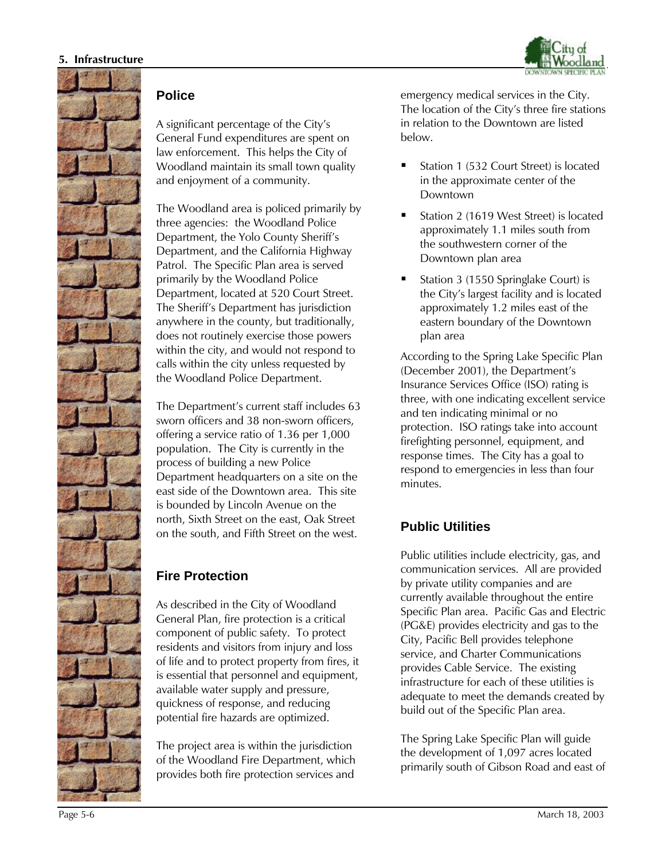



#### **Police**

A significant percentage of the City's General Fund expenditures are spent on law enforcement. This helps the City of Woodland maintain its small town quality and enjoyment of a community.

The Woodland area is policed primarily by three agencies: the Woodland Police Department, the Yolo County Sheriff's Department, and the California Highway Patrol. The Specific Plan area is served primarily by the Woodland Police Department, located at 520 Court Street. The Sheriff's Department has jurisdiction anywhere in the county, but traditionally, does not routinely exercise those powers within the city, and would not respond to calls within the city unless requested by the Woodland Police Department.

The Department's current staff includes 63 sworn officers and 38 non-sworn officers, offering a service ratio of 1.36 per 1,000 population. The City is currently in the process of building a new Police Department headquarters on a site on the east side of the Downtown area. This site is bounded by Lincoln Avenue on the north, Sixth Street on the east, Oak Street on the south, and Fifth Street on the west.

### **Fire Protection**

As described in the City of Woodland General Plan, fire protection is a critical component of public safety. To protect residents and visitors from injury and loss of life and to protect property from fires, it is essential that personnel and equipment, available water supply and pressure, quickness of response, and reducing potential fire hazards are optimized.

The project area is within the jurisdiction of the Woodland Fire Department, which provides both fire protection services and

emergency medical services in the City. The location of the City's three fire stations in relation to the Downtown are listed below.

- ß Station 1 (532 Court Street) is located in the approximate center of the Downtown
- ß Station 2 (1619 West Street) is located approximately 1.1 miles south from the southwestern corner of the Downtown plan area
- ß Station 3 (1550 Springlake Court) is the City's largest facility and is located approximately 1.2 miles east of the eastern boundary of the Downtown plan area

According to the Spring Lake Specific Plan (December 2001), the Department's Insurance Services Office (ISO) rating is three, with one indicating excellent service and ten indicating minimal or no protection. ISO ratings take into account firefighting personnel, equipment, and response times. The City has a goal to respond to emergencies in less than four minutes.

# **Public Utilities**

Public utilities include electricity, gas, and communication services. All are provided by private utility companies and are currently available throughout the entire Specific Plan area. Pacific Gas and Electric (PG&E) provides electricity and gas to the City, Pacific Bell provides telephone service, and Charter Communications provides Cable Service. The existing infrastructure for each of these utilities is adequate to meet the demands created by build out of the Specific Plan area.

The Spring Lake Specific Plan will guide the development of 1,097 acres located primarily south of Gibson Road and east of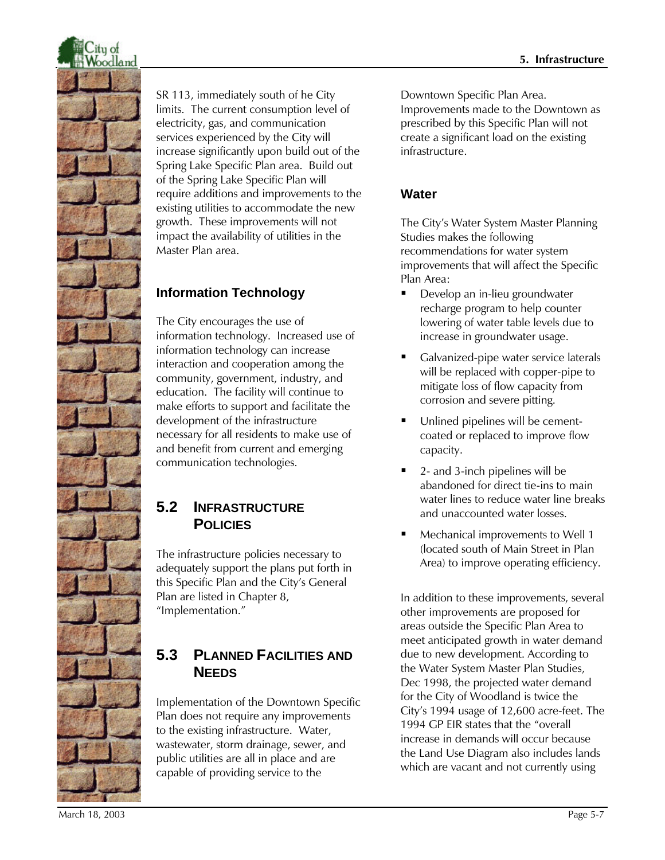

SR 113, immediately south of he City limits. The current consumption level of electricity, gas, and communication services experienced by the City will increase significantly upon build out of the Spring Lake Specific Plan area. Build out of the Spring Lake Specific Plan will require additions and improvements to the existing utilities to accommodate the new growth. These improvements will not impact the availability of utilities in the Master Plan area.

# **Information Technology**

The City encourages the use of information technology. Increased use of information technology can increase interaction and cooperation among the community, government, industry, and education. The facility will continue to make efforts to support and facilitate the development of the infrastructure necessary for all residents to make use of and benefit from current and emerging communication technologies.

# **5.2 INFRASTRUCTURE POLICIES**

The infrastructure policies necessary to adequately support the plans put forth in this Specific Plan and the City's General Plan are listed in Chapter 8, "Implementation."

# **5.3 PLANNED FACILITIES AND NEEDS**

Implementation of the Downtown Specific Plan does not require any improvements to the existing infrastructure. Water, wastewater, storm drainage, sewer, and public utilities are all in place and are capable of providing service to the

Downtown Specific Plan Area. Improvements made to the Downtown as prescribed by this Specific Plan will not create a significant load on the existing infrastructure.

### **Water**

The City's Water System Master Planning Studies makes the following recommendations for water system improvements that will affect the Specific Plan Area:

- **Develop an in-lieu groundwater** recharge program to help counter lowering of water table levels due to increase in groundwater usage.
- ß Galvanized-pipe water service laterals will be replaced with copper-pipe to mitigate loss of flow capacity from corrosion and severe pitting.
- Unlined pipelines will be cementcoated or replaced to improve flow capacity.
- ß 2- and 3-inch pipelines will be abandoned for direct tie-ins to main water lines to reduce water line breaks and unaccounted water losses.
- Mechanical improvements to Well 1 (located south of Main Street in Plan Area) to improve operating efficiency.

In addition to these improvements, several other improvements are proposed for areas outside the Specific Plan Area to meet anticipated growth in water demand due to new development. According to the Water System Master Plan Studies, Dec 1998, the projected water demand for the City of Woodland is twice the City's 1994 usage of 12,600 acre-feet. The 1994 GP EIR states that the "overall increase in demands will occur because the Land Use Diagram also includes lands which are vacant and not currently using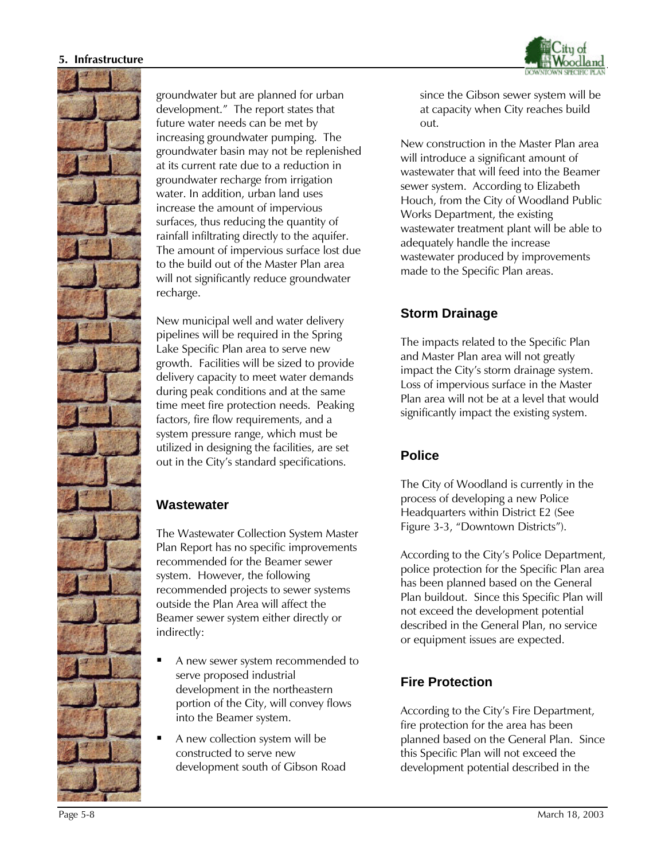#### **5. Infrastructure**





groundwater but are planned for urban development." The report states that future water needs can be met by increasing groundwater pumping. The groundwater basin may not be replenished at its current rate due to a reduction in groundwater recharge from irrigation water. In addition, urban land uses increase the amount of impervious surfaces, thus reducing the quantity of rainfall infiltrating directly to the aquifer. The amount of impervious surface lost due to the build out of the Master Plan area will not significantly reduce groundwater recharge.

New municipal well and water delivery pipelines will be required in the Spring Lake Specific Plan area to serve new growth. Facilities will be sized to provide delivery capacity to meet water demands during peak conditions and at the same time meet fire protection needs. Peaking factors, fire flow requirements, and a system pressure range, which must be utilized in designing the facilities, are set out in the City's standard specifications.

#### **Wastewater**

The Wastewater Collection System Master Plan Report has no specific improvements recommended for the Beamer sewer system. However, the following recommended projects to sewer systems outside the Plan Area will affect the Beamer sewer system either directly or indirectly:

- ß A new sewer system recommended to serve proposed industrial development in the northeastern portion of the City, will convey flows into the Beamer system.
- ß A new collection system will be constructed to serve new development south of Gibson Road

since the Gibson sewer system will be at capacity when City reaches build out.

New construction in the Master Plan area will introduce a significant amount of wastewater that will feed into the Beamer sewer system. According to Elizabeth Houch, from the City of Woodland Public Works Department, the existing wastewater treatment plant will be able to adequately handle the increase wastewater produced by improvements made to the Specific Plan areas.

### **Storm Drainage**

The impacts related to the Specific Plan and Master Plan area will not greatly impact the City's storm drainage system. Loss of impervious surface in the Master Plan area will not be at a level that would significantly impact the existing system.

### **Police**

The City of Woodland is currently in the process of developing a new Police Headquarters within District E2 (See Figure 3-3, "Downtown Districts").

According to the City's Police Department, police protection for the Specific Plan area has been planned based on the General Plan buildout. Since this Specific Plan will not exceed the development potential described in the General Plan, no service or equipment issues are expected.

### **Fire Protection**

According to the City's Fire Department, fire protection for the area has been planned based on the General Plan. Since this Specific Plan will not exceed the development potential described in the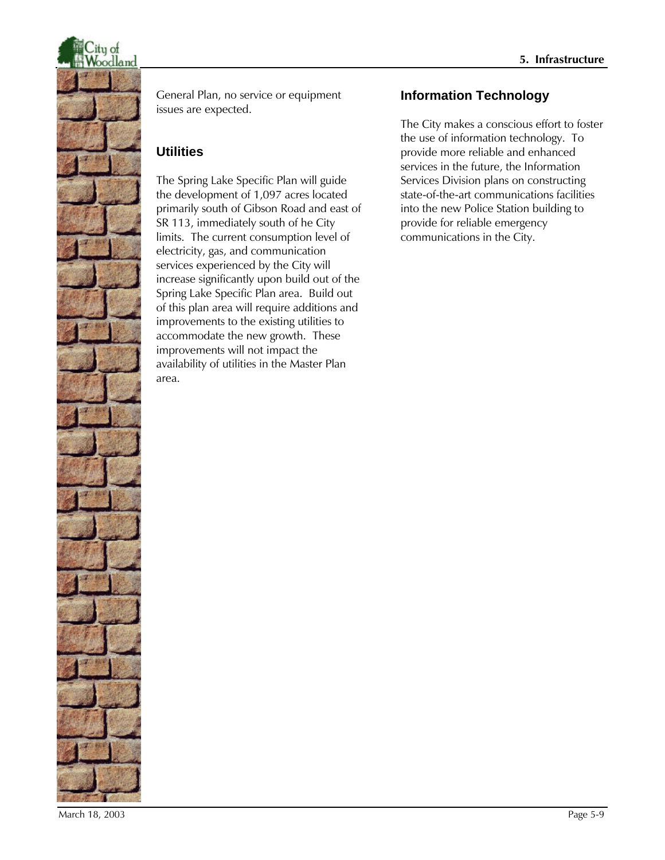

General Plan, no service or equipment issues are expected.

# **Utilities**

The Spring Lake Specific Plan will guide the development of 1,097 acres located primarily south of Gibson Road and east of SR 113, immediately south of he City limits. The current consumption level of electricity, gas, and communication services experienced by the City will increase significantly upon build out of the Spring Lake Specific Plan area. Build out of this plan area will require additions and improvements to the existing utilities to accommodate the new growth. These improvements will not impact the availability of utilities in the Master Plan area.

# **Information Technology**

The City makes a conscious effort to foster the use of information technology. To provide more reliable and enhanced services in the future, the Information Services Division plans on constructing state-of-the-art communications facilities into the new Police Station building to provide for reliable emergency communications in the City.